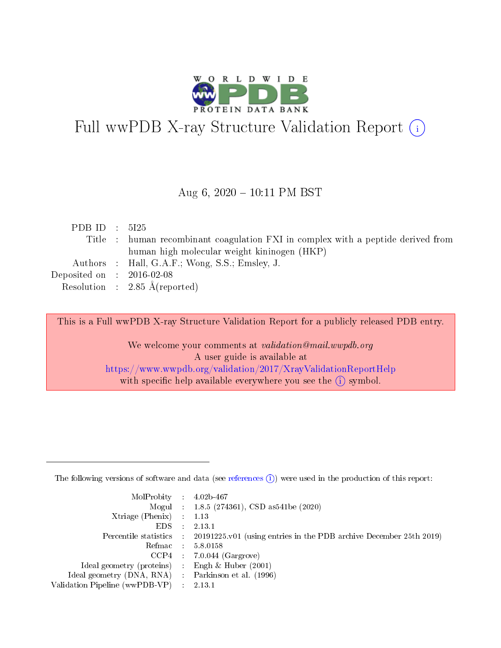

# Full wwPDB X-ray Structure Validation Report (i)

#### Aug 6,  $2020 - 10:11$  PM BST

| PDB ID : $5125$                      |                                                                                  |
|--------------------------------------|----------------------------------------------------------------------------------|
|                                      | Title : human recombinant coagulation FXI in complex with a peptide derived from |
|                                      | human high molecular weight kininogen (HKP)                                      |
|                                      | Authors : Hall, G.A.F.; Wong, S.S.; Emsley, J.                                   |
| Deposited on $\therefore$ 2016-02-08 |                                                                                  |
|                                      | Resolution : $2.85 \text{ Å}$ (reported)                                         |

This is a Full wwPDB X-ray Structure Validation Report for a publicly released PDB entry.

We welcome your comments at validation@mail.wwpdb.org A user guide is available at <https://www.wwpdb.org/validation/2017/XrayValidationReportHelp> with specific help available everywhere you see the  $(i)$  symbol.

The following versions of software and data (see [references](https://www.wwpdb.org/validation/2017/XrayValidationReportHelp#references)  $(1)$ ) were used in the production of this report:

| $MolProbability$ : 4.02b-467                      |                             |                                                                                            |
|---------------------------------------------------|-----------------------------|--------------------------------------------------------------------------------------------|
|                                                   |                             | Mogul : $1.8.5$ (274361), CSD as 541be (2020)                                              |
| Xtriage (Phenix) $: 1.13$                         |                             |                                                                                            |
| EDS.                                              | $\mathcal{L}$               | 2.13.1                                                                                     |
|                                                   |                             | Percentile statistics : 20191225.v01 (using entries in the PDB archive December 25th 2019) |
| Refmac : 5.8.0158                                 |                             |                                                                                            |
|                                                   |                             | $CCP4$ 7.0.044 (Gargrove)                                                                  |
| Ideal geometry (proteins)                         | $\mathcal{L}_{\mathcal{L}}$ | Engh $\&$ Huber (2001)                                                                     |
| Ideal geometry (DNA, RNA) Parkinson et al. (1996) |                             |                                                                                            |
| Validation Pipeline (wwPDB-VP) : 2.13.1           |                             |                                                                                            |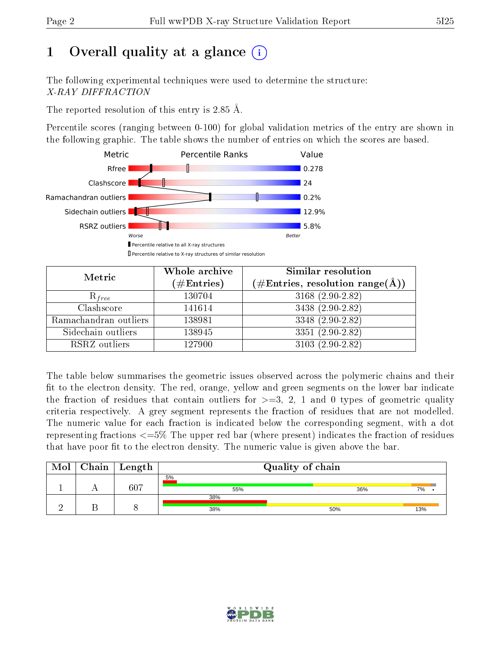# 1 [O](https://www.wwpdb.org/validation/2017/XrayValidationReportHelp#overall_quality)verall quality at a glance  $(i)$

The following experimental techniques were used to determine the structure: X-RAY DIFFRACTION

The reported resolution of this entry is 2.85 Å.

Percentile scores (ranging between 0-100) for global validation metrics of the entry are shown in the following graphic. The table shows the number of entries on which the scores are based.



| Metric                | Whole archive<br>$(\#\mathrm{Entries})$ | Similar resolution<br>$(\#\text{Entries},\, \text{resolution}\; \text{range}(\textup{\AA}))$ |
|-----------------------|-----------------------------------------|----------------------------------------------------------------------------------------------|
| $R_{free}$            | 130704                                  | 3168 (2.90-2.82)                                                                             |
| Clashscore            | 141614                                  | 3438 (2.90-2.82)                                                                             |
| Ramachandran outliers | 138981                                  | 3348 (2.90-2.82)                                                                             |
| Sidechain outliers    | 138945                                  | $3351(2.90-2.82)$                                                                            |
| RSRZ outliers         | 127900                                  | $3103(2.90-2.82)$                                                                            |

The table below summarises the geometric issues observed across the polymeric chains and their fit to the electron density. The red, orange, yellow and green segments on the lower bar indicate the fraction of residues that contain outliers for  $>=3, 2, 1$  and 0 types of geometric quality criteria respectively. A grey segment represents the fraction of residues that are not modelled. The numeric value for each fraction is indicated below the corresponding segment, with a dot representing fractions  $\epsilon=5\%$  The upper red bar (where present) indicates the fraction of residues that have poor fit to the electron density. The numeric value is given above the bar.

| Mol | $Chain$ Length |            | Quality of chain |     |
|-----|----------------|------------|------------------|-----|
|     | 607            | 5%<br>55%  | 36%              | 7%  |
|     |                | 38%<br>38% | 50%              | 13% |

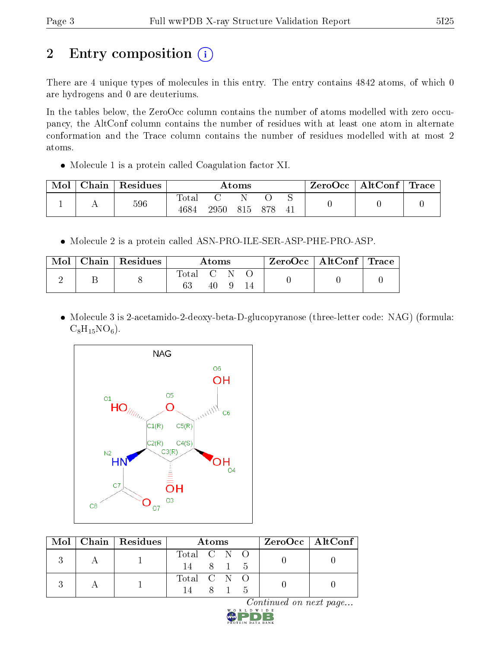# 2 Entry composition (i)

There are 4 unique types of molecules in this entry. The entry contains 4842 atoms, of which 0 are hydrogens and 0 are deuteriums.

In the tables below, the ZeroOcc column contains the number of atoms modelled with zero occupancy, the AltConf column contains the number of residues with at least one atom in alternate conformation and the Trace column contains the number of residues modelled with at most 2 atoms.

Molecule 1 is a protein called Coagulation factor XI.

| Mol | Chain | Residues |                     |      | Atoms |     | ZeroOcc | $\mid$ AltConf $\mid$ Trace |  |
|-----|-------|----------|---------------------|------|-------|-----|---------|-----------------------------|--|
|     |       | 596      | $\rm Total$<br>4684 | 2950 | 815   | 878 |         |                             |  |

Molecule 2 is a protein called ASN-PRO-ILE-SER-ASP-PHE-PRO-ASP.

| Mol | $\mid$ Chain $\mid$ Residues |           | Atoms |  | ZeroOcc   AltConf   Trace |  |
|-----|------------------------------|-----------|-------|--|---------------------------|--|
|     |                              | Total C N |       |  |                           |  |

• Molecule 3 is 2-acetamido-2-deoxy-beta-D-glucopyranose (three-letter code: NAG) (formula:  $C_8H_{15}NO_6$ .



|  | Mol   Chain   Residues | Atoms                                   | $ZeroOcc \mid AltConf \mid$ |  |
|--|------------------------|-----------------------------------------|-----------------------------|--|
|  |                        | Total C N O<br>14 8 1 5                 |                             |  |
|  |                        | Total C N O<br>$8^{\circ}$<br>- 5<br>14 |                             |  |

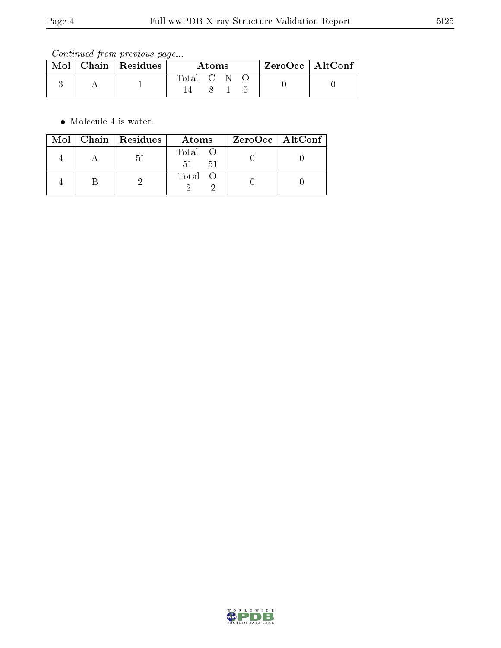Continued from previous page...

|  | $\text{Mol}$   Chain   Residues | Atoms       |  |  | $ZeroOcc \mid AltConf$ |  |
|--|---------------------------------|-------------|--|--|------------------------|--|
|  |                                 | Total C N O |  |  |                        |  |
|  |                                 |             |  |  |                        |  |

Molecule 4 is water.

|  | Mol   Chain   Residues | Atoms               | ZeroOcc   AltConf |  |
|--|------------------------|---------------------|-------------------|--|
|  | .DI                    | Total O<br>51<br>51 |                   |  |
|  |                        | Total O             |                   |  |

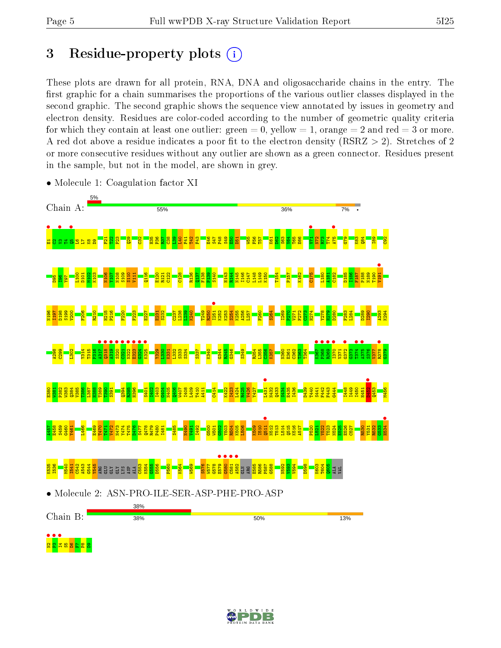## 3 Residue-property plots  $(i)$

These plots are drawn for all protein, RNA, DNA and oligosaccharide chains in the entry. The first graphic for a chain summarises the proportions of the various outlier classes displayed in the second graphic. The second graphic shows the sequence view annotated by issues in geometry and electron density. Residues are color-coded according to the number of geometric quality criteria for which they contain at least one outlier: green  $= 0$ , yellow  $= 1$ , orange  $= 2$  and red  $= 3$  or more. A red dot above a residue indicates a poor fit to the electron density ( $\text{RSRZ} > 2$ ). Stretches of 2 or more consecutive residues without any outlier are shown as a green connector. Residues present in the sample, but not in the model, are shown in grey.



• Molecule 1: Coagulation factor XI

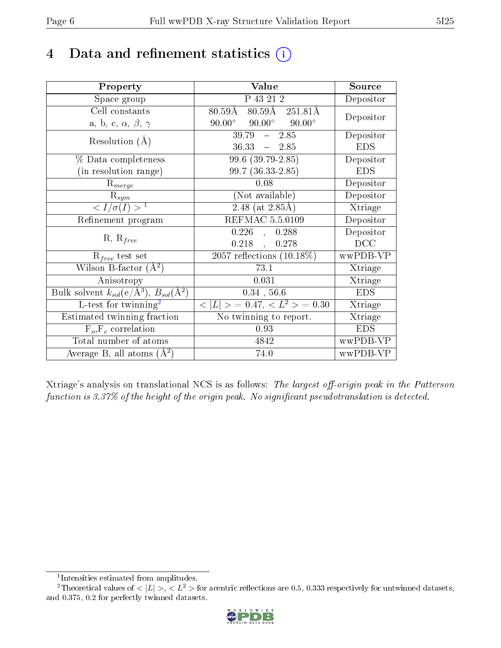### 4 Data and refinement statistics  $(i)$

| Property                                                         | Value                                                             | Source     |
|------------------------------------------------------------------|-------------------------------------------------------------------|------------|
| Space group                                                      | P 43 21 2                                                         | Depositor  |
| Cell constants                                                   | $80.59\text{\AA}$ $80.5\overline{9\text{\AA}}$ $251.81\text{\AA}$ | Depositor  |
| a, b, c, $\alpha$ , $\beta$ , $\gamma$                           | $90.00^{\circ}$ $90.00^{\circ}$<br>$90.00^\circ$                  |            |
| Resolution $(A)$                                                 | $-2.85$<br>39.79                                                  | Depositor  |
|                                                                  | $36.33 - 2.85$                                                    | <b>EDS</b> |
| % Data completeness                                              | $99.6(39.79-2.85)$                                                | Depositor  |
| (in resolution range)                                            | 99.7 (36.33-2.85)                                                 | <b>EDS</b> |
| $R_{merge}$                                                      | 0.08                                                              | Depositor  |
| $\mathrm{R}_{sym}$                                               | (Not available)                                                   | Depositor  |
| $\langle I/\sigma(I) \rangle^{-1}$                               | $2.48$ (at 2.85Å)                                                 | Xtriage    |
| Refinement program                                               | <b>REFMAC 5.5.0109</b>                                            | Depositor  |
| $R, R_{free}$                                                    | $0.226$ ,<br>0.288                                                | Depositor  |
|                                                                  | $0.218$ ,<br>0.278                                                | DCC        |
| $R_{free}$ test set                                              | 2057 reflections $(10.18\%)$                                      | wwPDB-VP   |
| Wilson B-factor $(A^2)$                                          | 73.1                                                              | Xtriage    |
| Anisotropy                                                       | 0.031                                                             | Xtriage    |
| Bulk solvent $k_{sol}(\text{e}/\text{A}^3), B_{sol}(\text{A}^2)$ | $0.34$ , 56.6                                                     | <b>EDS</b> |
| L-test for $\mathrm{twinning}^2$                                 | $< L >$ = 0.47, $< L2 >$ = 0.30                                   | Xtriage    |
| Estimated twinning fraction                                      | No twinning to report.                                            | Xtriage    |
| $F_o, F_c$ correlation                                           | 0.93                                                              | <b>EDS</b> |
| Total number of atoms                                            | 4842                                                              | wwPDB-VP   |
| Average B, all atoms $(A^2)$                                     | 74.0                                                              | wwPDB-VP   |

Xtriage's analysis on translational NCS is as follows: The largest off-origin peak in the Patterson function is  $3.37\%$  of the height of the origin peak. No significant pseudotranslation is detected.

<sup>&</sup>lt;sup>2</sup>Theoretical values of  $\langle |L| \rangle$ ,  $\langle L^2 \rangle$  for acentric reflections are 0.5, 0.333 respectively for untwinned datasets, and 0.375, 0.2 for perfectly twinned datasets.



<span id="page-5-1"></span><span id="page-5-0"></span><sup>1</sup> Intensities estimated from amplitudes.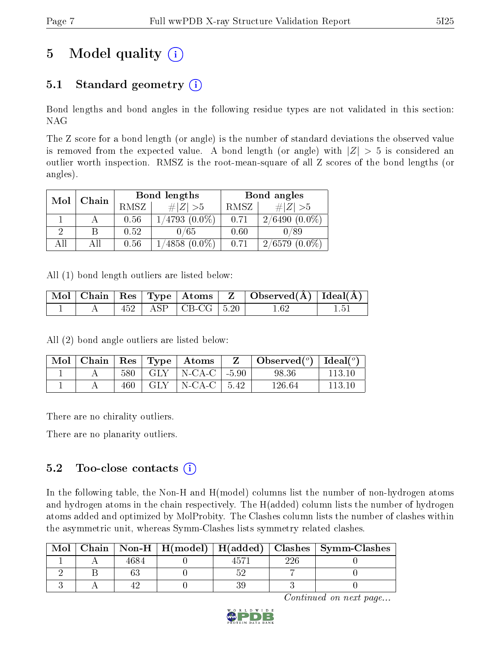# 5 Model quality  $(i)$

### 5.1 Standard geometry  $(i)$

Bond lengths and bond angles in the following residue types are not validated in this section: NAG

The Z score for a bond length (or angle) is the number of standard deviations the observed value is removed from the expected value. A bond length (or angle) with  $|Z| > 5$  is considered an outlier worth inspection. RMSZ is the root-mean-square of all Z scores of the bond lengths (or angles).

| Mol | Chain |      | Bond lengths       | Bond angles |                 |  |
|-----|-------|------|--------------------|-------------|-----------------|--|
|     |       | RMSZ | $\# Z  > 5$        | RMSZ        | $\# Z  > 5$     |  |
|     |       | 0.56 | $1/4793$ $(0.0\%)$ | 0.71        | $2/6490(0.0\%)$ |  |
|     |       | 0.52 | 0/65               | 0.60        | 0/89            |  |
| All |       | 0.56 | $4858(0.0\%)$      | 0.71        | $2/6579(0.0\%)$ |  |

All (1) bond length outliers are listed below:

|  |  |                            | $\mid$ Mol $\mid$ Chain $\mid$ Res $\mid$ Type $\mid$ Atoms $\mid$ Z $\mid$ Observed(Å) $\mid$ Ideal(Å) $\mid$ |  |
|--|--|----------------------------|----------------------------------------------------------------------------------------------------------------|--|
|  |  | $452$   ASP   CB-CG   5.20 | 1 62                                                                                                           |  |

All (2) bond angle outliers are listed below:

| Mol | Chain |     | $\vert$ Res $\vert$ Type $\vert$ Atoms |        | Observed $\binom{o}{0}$ Ideal $\binom{o}{0}$ |        |
|-----|-------|-----|----------------------------------------|--------|----------------------------------------------|--------|
|     |       | 580 | $GLY$   N-CA-C   -5.90                 |        | 98.36                                        | 113.10 |
|     |       | 460 | $GLY$   N-CA-C                         | - 5.42 | 126.64                                       | 113 10 |

There are no chirality outliers.

There are no planarity outliers.

### 5.2 Too-close contacts  $(i)$

In the following table, the Non-H and H(model) columns list the number of non-hydrogen atoms and hydrogen atoms in the chain respectively. The H(added) column lists the number of hydrogen atoms added and optimized by MolProbity. The Clashes column lists the number of clashes within the asymmetric unit, whereas Symm-Clashes lists symmetry related clashes.

| Mol |      |  |     | Chain   Non-H   H(model)   H(added)   Clashes   Symm-Clashes |
|-----|------|--|-----|--------------------------------------------------------------|
|     | 4684 |  | ววค |                                                              |
|     |      |  |     |                                                              |
|     |      |  |     |                                                              |

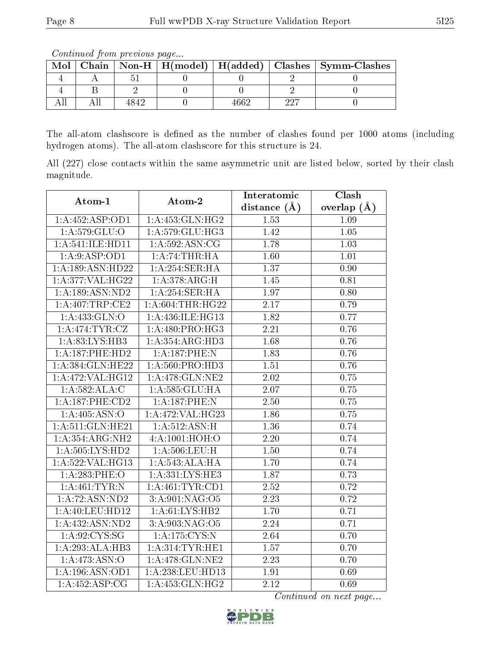Continued from previous page...

| Mol |  |      |   | Chain   Non-H   H(model)   H(added)   Clashes   Symm-Clashes |
|-----|--|------|---|--------------------------------------------------------------|
|     |  |      |   |                                                              |
|     |  |      |   |                                                              |
|     |  | .660 | ഹ |                                                              |

The all-atom clashscore is defined as the number of clashes found per 1000 atoms (including hydrogen atoms). The all-atom clashscore for this structure is 24.

All (227) close contacts within the same asymmetric unit are listed below, sorted by their clash magnitude.

| Atom-1             | Atom-2              | Interatomic       | Clash         |
|--------------------|---------------------|-------------------|---------------|
|                    |                     | distance $(\AA)$  | overlap $(A)$ |
| 1:A:452:ASP:OD1    | 1:A:453:GLN:HG2     | 1.53              | 1.09          |
| 1: A:579: GLU:O    | 1:A:579:GLU:HG3     | 1.42              | $1.05\,$      |
| 1:A:541:ILE:HD11   | 1:A:592:ASN:CG      | 1.78              | 1.03          |
| 1: A:9: ASP:OD1    | 1:A:74:THR:HA       | 1.60              | 1.01          |
| 1:A:189:ASN:HD22   | 1:A:254:SER:HA      | 1.37              | $0.90\,$      |
| 1:A:377:VAL:H G22  | 1:A:378:ARG:H       | 1.45              | 0.81          |
| 1:A:189:ASN:ND2    | 1: A:254:SER:HA     | $\overline{1.97}$ | 0.80          |
| 1: A:407:TRP:CE2   | 1: A:604:THR:HG22   | 2.17              | 0.79          |
| 1: A: 433: GLN:O   | 1: A:436: ILE: HG13 | 1.82              | 0.77          |
| 1: A:474:TYR:CZ    | 1:A:480:PRO:HG3     | 2.21              | 0.76          |
| 1:A:83:LYS:HB3     | 1:A:354:ARG:HD3     | 1.68              | 0.76          |
| 1:A:187:PHE:HD2    | 1:A:187:PHE:N       | 1.83              | 0.76          |
| 1:A:384:GLN:HE22   | 1:A:560:PRO:HD3     | 1.51              | 0.76          |
| 1:A:472:VAL:HG12   | 1:A:478:GLN:NE2     | $2.02\,$          | 0.75          |
| 1:A:582:ALA:C      | 1:A:585:GLU:HA      | 2.07              | 0.75          |
| 1:A:187:PHE:CD2    | 1:A:187:PHE:N       | 2.50              | 0.75          |
| 1: A:405: ASN:O    | 1:A:472:VAL:HG23    | 1.86              | 0.75          |
| 1:A:511:GLN:HE21   | 1: A:512: ASN:H     | 1.36              | 0.74          |
| 1:A:354:ARG:NH2    | 4:A:1001:HOH:O      | 2.20              | 0.74          |
| 1:A:505:LYS:HD2    | 1: A:506:LEU:H      | 1.50              | 0.74          |
| 1:A:522:VAL:HG13   | 1:A:543:ALA:HA      | 1.70              | 0.74          |
| 1:A:283:PHE:O      | 1:A:331:LYS:HE3     | 1.87              | 0.73          |
| 1: A:461:TYR:N     | 1: A:461:TYR:CD1    | 2.52              | 0.72          |
| 1: A:72: ASN:ND2   | 3: A:901: NAG:O5    | $\overline{2.23}$ | 0.72          |
| 1: A:40:LEU:HD12   | 1:A:61:LYS:HB2      | 1.70              | 0.71          |
| $1:$ A:432:ASN:ND2 | 3: A:903: NAG:O5    | 2.24              | 0.71          |
| 1: A:92: CYS:SG    | 1: A: 175: CYS:N    | 2.64              | 0.70          |
| 1:A:293:ALA:HB3    | 1: A:314:TYR:HE1    | 1.57              | 0.70          |
| 1: A:473: ASN:O    | 1:A:478:GLN:NE2     | 2.23              | 0.70          |
| 1:A:196:ASN:OD1    | 1:A:238:LEU:HD13    | 1.91              | 0.69          |
| 1:A:452:ASP:CG     | 1: A: 453: GLN: HG2 | 2.12              | 0.69          |

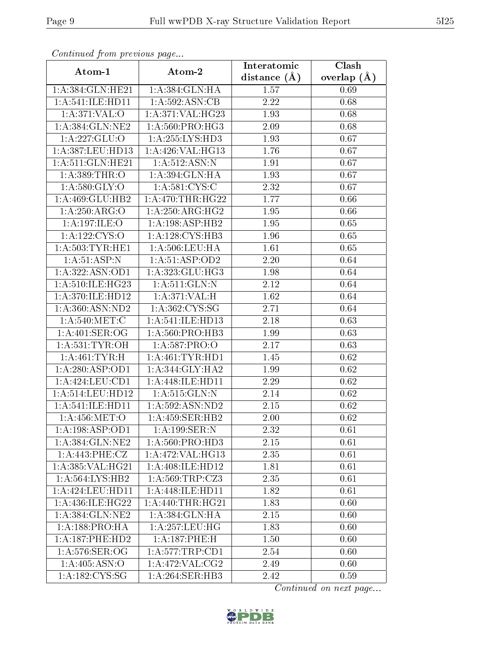| Communa from previous page |                     | Interatomic      | Clash           |
|----------------------------|---------------------|------------------|-----------------|
| Atom-1                     | Atom-2              | distance $(\AA)$ | overlap $(\AA)$ |
| 1:A:384:GLN:HE21           | 1:A:384:GLN:HA      | 1.57             | 0.69            |
| 1: A:541: ILE: HDI1        | 1:A:592:ASN:CB      | 2.22             | 0.68            |
| 1: A:371: VAL:O            | 1:A:371:VAL:HG23    | 1.93             | 0.68            |
| 1: A:384: GLN: NE2         | 1: A:560: PRO:HG3   | 2.09             | 0.68            |
| $1:A:227:\overline{GLU:O}$ | 1:A:255:LYS:HD3     | 1.93             | 0.67            |
| 1:A:387:LEU:HD13           | 1:A:426:VAL:HG13    | 1.76             | 0.67            |
| 1:A:511:GLN:HE21           | 1: A:512: ASN:N     | 1.91             | 0.67            |
| 1:A:389:THR:O              | 1: A:394: GLN: HA   | 1.93             | 0.67            |
| 1: A:580: GLY:O            | 1: A:581:CYS:C      | 2.32             | 0.67            |
| 1:A:469:GLU:HB2            | 1: A:470:THR:HG22   | 1.77             | 0.66            |
| 1:A:250:ARG:O              | 1: A:250:ARG:HG2    | 1.95             | 0.66            |
| 1: A:197: ILE:O            | 1:A:198:ASP:HB2     | 1.95             | 0.65            |
| 1: A: 122: CYS:O           | 1:A:128:CYS:HB3     | 1.96             | 0.65            |
| 1: A: 503: TYR: HE1        | 1:A:506:LEU:HA      | 1.61             | 0.65            |
| 1: A:51: ASP: N            | 1:A:51:ASP:OD2      | 2.20             | 0.64            |
| 1: A: 322: ASN: OD1        | 1:A:323:GLU:HG3     | 1.98             | 0.64            |
| 1:A:510:ILE:HG23           | 1: A:511: GLN:N     | 2.12             | 0.64            |
| 1:A:370:ILE:HD12           | 1: A:371: VAL:H     | 1.62             | 0.64            |
| 1: A:360: ASN:ND2          | 1:A:362:CYS:SG      | 2.71             | 0.64            |
| 1: A:540:MET:C             | 1:A:541:ILE:HD13    | 2.18             | 0.63            |
| 1: A:401: SER:OG           | 1: A:560: PRO:HB3   | 1.99             | 0.63            |
| 1: A:531:TYR:OH            | 1:A:587:PRO:O       | 2.17             | 0.63            |
| 1:A:461:TYR:H              | 1: A: 461: TYR: HD1 | 1.45             | 0.62            |
| 1:A:280:ASP:OD1            | 1: A:344: GLY:HA2   | 1.99             | 0.62            |
| 1:A:424:LEU:CD1            | 1:A:448:ILE:HD11    | 2.29             | 0.62            |
| 1: A:514:LEU:HD12          | 1:A:515:GLN:N       | 2.14             | 0.62            |
| 1: A:541: ILE: HDI1        | 1: A:592: ASN:ND2   | 2.15             | 0.62            |
| 1: A:456: MET:O            | 1: A: 459: SER: HB2 | 2.00             | 0.62            |
| 1:A:198:ASP:OD1            | 1:A:199:SER:N       | 2.32             | 0.61            |
| 1:A:384:GLN:NE2            | 1:A:560:PRO:HD3     | 2.15             | 0.61            |
| 1:A:443:PHE:CZ             | 1:A:472:VAL:HG13    | 2.35             | 0.61            |
| 1:A:385:VAL:HG21           | 1:A:408:ILE:HD12    | 1.81             | 0.61            |
| 1: A: 564: LYS: HB2        | 1: A:569:TRP: CZ3   | 2.35             | 0.61            |
| 1: A:424:LEU:HD11          | 1: A:448: ILE: HD11 | 1.82             | 0.61            |
| 1:A:436:ILE:HG22           | 1: A:440:THR:HG21   | 1.83             | 0.60            |
| 1:A:384:GLN:NE2            | 1: A: 384: GLN: HA  | $2.15\,$         | 0.60            |
| 1: A: 188: PRO: HA         | 1: A: 257: LEU: HG  | 1.83             | 0.60            |
| 1:A:187:PHE:HD2            | 1:A:187:PHE:H       | 1.50             | 0.60            |
| 1:A:576:SER:OG             | 1: A: 577: TRP: CD1 | 2.54             | 0.60            |
| 1:A:405:ASN:O              | 1:A:472:VAL:CG2     | 2.49             | 0.60            |
| 1:A:182:CYS:SG             | 1:A:264:SER:HB3     | 2.42             | 0.59            |

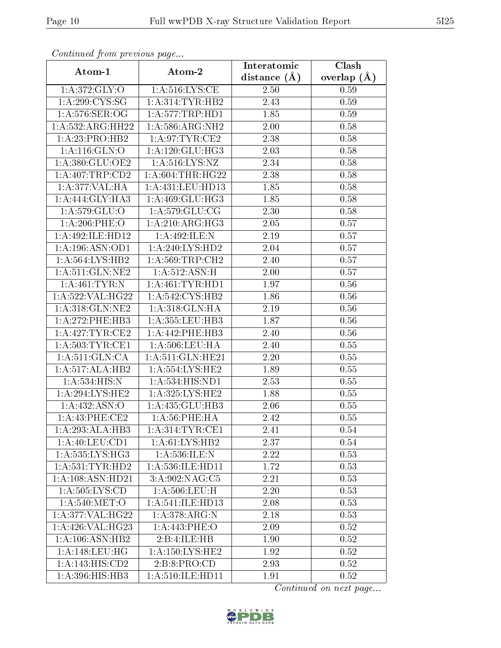| Communa from previous page            |                      | Interatomic      | Clash           |
|---------------------------------------|----------------------|------------------|-----------------|
| Atom-1                                | Atom-2               | distance $(\AA)$ | overlap $(\AA)$ |
| 1: A:372: GLY:O                       | 1: A:516:LYS:CE      | 2.50             | 0.59            |
| 1: A:299:CYS:SG                       | 1: A:314:TYR:HB2     | 2.43             | 0.59            |
| 1: A:576: SER:OG                      | 1: A: 577: TRP: HDI  | 1.85             | 0.59            |
| 1:A:532:ARG:HH22                      | 1: A:586:ARG:NH2     | $2.00\,$         | 0.58            |
| 1: A: 23: PRO: HB2                    | 1: A:97:TYR:CE2      | 2.38             | 0.58            |
| 1:A:116:GLN:O                         | 1:A:120:GLU:HG3      | 2.03             | 0.58            |
| 1:A:380:GLU:OE2                       | 1: A:516: LYS: NZ    | 2.34             | 0.58            |
| 1:A:407:TRP:CD2                       | 1: A:604:THR:HG22    | 2.38             | 0.58            |
| 1: A:377: VAL:HA                      | 1:A:431:LEU:HD13     | 1.85             | 0.58            |
| 1:A:444:GLY:HA3                       | 1:A:469:GLU:HG3      | 1.85             | 0.58            |
| 1:A:579:GLU:O                         | 1: A:579: GLU:CG     | 2.30             | 0.58            |
| 1: A:206: PHE:O                       | 1:A:210:ARG:HG3      | 2.05             | 0.57            |
| 1:A:492:ILE:HD12                      | 1:A:492:ILE:N        | 2.19             | 0.57            |
| 1:A:196:ASN:OD1                       | 1: A:240: LYS: HD2   | 2.04             | 0.57            |
| 1:A:564:LYS:HB2                       | 1: A:569:TRP:CH2     | 2.40             | 0.57            |
| 1: A:511: GLN:NE2                     | $1:$ A:512:ASN:H     | 2.00             | 0.57            |
| 1: A:461:TYR:N                        | 1: A:461:TYR:HD1     | 1.97             | 0.56            |
| 1:A:522:VAL:HG22                      | 1:A:542:CYS:HB2      | 1.86             | 0.56            |
| 1:A:318:GLN:NE2                       | 1:A:318:GLN:HA       | 2.19             | 0.56            |
| 1: A:272:PHE:HB3                      | 1: A: 355: LEU: HB3  | 1.87             | 0.56            |
| 1:A:427:TYR:CE2                       | 1:A:442:PHE:HB3      | 2.40             | 0.56            |
| 1: A:503:TYR:CE1                      | 1: A:506:LEU:HA      | 2.40             | 0.55            |
| 1: A:511: GLN:CA                      | 1:A:511:GLN:HE21     | 2.20             | 0.55            |
| 1:A:517:ALA:HB2                       | 1:A:554:LYS:HE2      | 1.89             | 0.55            |
| 1:A:534:HIS:N                         | 1: A: 534: HIS: ND1  | 2.53             | 0.55            |
| 1: A:294:LYS:HE2                      | 1: A:325: LYS: HE2   | 1.88             | 0.55            |
| 1:A:432:ASN:O                         | 1:A:435:GLU:HB3      | 2.06             | 0.55            |
| $1: A:43: PHE: \overline{\text{CE2}}$ | 1: A:56:PHE:HA       | 2.42             | 0.55            |
| 1:A:293:ALA:HB3                       | 1: A:314:TYR:CE1     | 2.41             | 0.54            |
| 1: A:40: LEU:CD1                      | 1: A:61:LYS:HB2      | 2.37             | 0.54            |
| 1: A: 535: LYS: HG3                   | 1: A:536: ILE:N      | 2.22             | 0.53            |
| 1: A: 531: TYR: HD2                   | 1: A: 536: ILE: HD11 | 1.72             | 0.53            |
| 1:A:108:ASN:HD21                      | 3:A:902:NAG:C5       | 2.21             | 0.53            |
| 1: A: 505: LYS: CD                    | 1:A:506:LEU:H        | 2.20             | 0.53            |
| 1: A:540:MET:O                        | 1:A:541:ILE:HD13     | 2.08             | 0.53            |
| 1:A:377:VAL:HG22                      | 1: A:378:ARG:N       | 2.18             | 0.53            |
| 1:A:426:VAL:HG23                      | 1:A:443:PHE:O        | 2.09             | 0.52            |
| 1: A:106: ASN:HB2                     | 2:B:4:ILE:HB         | 1.90             | 0.52            |
| 1: A:148:LEU:HG                       | 1: A: 150: LYS: HE2  | 1.92             | 0.52            |
| 1:A:143:HIS:CD2                       | 2: B:8: PRO:CD       | 2.93             | 0.52            |
| 1:A:396:HIS:HB3                       | 1: A:510: ILE: HD11  | 1.91             | 0.52            |

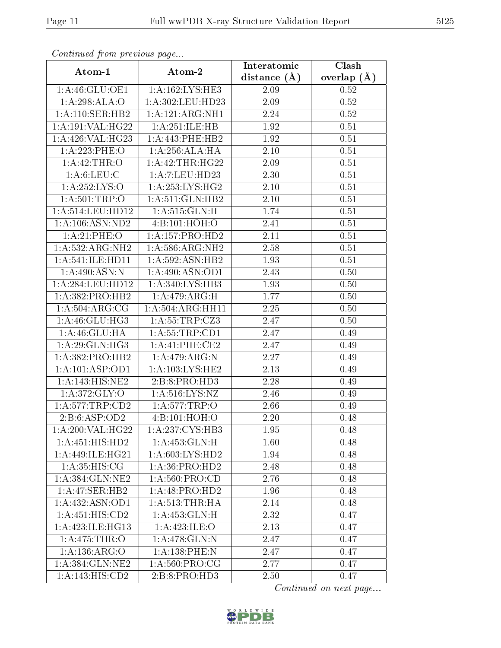| сонинией јтот ртеvиоиз раде |                           | Interatomic       | Clash         |
|-----------------------------|---------------------------|-------------------|---------------|
| Atom-1                      | Atom-2                    | distance $(A)$    | overlap $(A)$ |
| 1:A:46:GLU:OE1              | 1: A: 162: LYS: HE3       | 2.09              | 0.52          |
| 1:A:298:ALA:O               | 1:A:302:LEU:HD23          | $\overline{2.09}$ | $0.52\,$      |
| 1: A:110: SER: HB2          | 1:A:121:ARG:NH1           | 2.24              | 0.52          |
| 1:A:191:VAL:HG22            | 1:A:251:ILE:HB            | 1.92              | 0.51          |
| 1:A:426:VAL:HG23            | 1:A:443:PHE:HB2           | 1.92              | 0.51          |
| 1:A:223:PHE:O               | 1:A:256:ALA:HA            | $2.10\,$          | 0.51          |
| 1:A:42:THR:O                | 1: A:42:THR:HG22          | 2.09              | 0.51          |
| 1: A:6: LEU: C              | 1:A:7:LEU:HD23            | 2.30              | 0.51          |
| 1:A:252:LYS:O               | 1: A:253: LYS: HG2        | 2.10              | 0.51          |
| 1: A: 501:TRP:O             | 1: A:511: GLN:HB2         | 2.10              | 0.51          |
| 1: A:514:LEU:HD12           | 1: A:515: GLN:H           | 1.74              | 0.51          |
| 1: A: 106: ASN: ND2         | 4:Bi:101:HOH:O            | 2.41              | 0.51          |
| 1:A:21:PHE:O                | $1:$ A:157:PRO:HD2        | 2.11              | 0.51          |
| 1:A:532:ARG:NH2             | 1: A:586:ARG:NH2          | 2.58              | 0.51          |
| 1:A:541:ILE:HD11            | 1:A:592:ASN:HB2           | 1.93              | 0.51          |
| 1:A:490:ASN:N               | 1: A:490: ASN:OD1         | 2.43              | 0.50          |
| 1:A:284:LEU:HD12            | 1:A:340:LYS:HB3           | 1.93              | 0.50          |
| 1: A: 382: PRO: HB2         | 1: A:479: ARG:H           | 1.77              | 0.50          |
| 1: A:504:ARG:CG             | 1:A:504:ARG:HH11          | 2.25              | $0.50\,$      |
| 1:A:46:GLU:HG3              | 1:A:55:TRP:CZ3            | 2.47              | 0.50          |
| 1: A:46: GLU: HA            | 1: A:55:TRP:CD1           | 2.47              | 0.49          |
| 1: A:29: GLN: HG3           | 1:A:41:PHE:CE2            | 2.47              | 0.49          |
| 1: A: 382: PRO: HB2         | 1:A:479:ARG:N             | 2.27              | 0.49          |
| 1:A:101:ASP:OD1             | 1:A:103:LYS:HE2           | 2.13              | 0.49          |
| 1:A:143:HIS:NE2             | 2:B:8:PRO:H <sub>D3</sub> | 2.28              | 0.49          |
| 1: A:372: GLY:O             | 1:A:516:LYS:NZ            | 2.46              | 0.49          |
| 1: A:577:TRP:CD2            | 1:A:577:TRP:O             | 2.66              | 0.49          |
| 2:B:6:ASP:OD2               | 4:B:101:HOH:O             | $2.20\,$          | 0.48          |
| 1:A:200:VAL:HG22            | 1:A:237:CYS:HB3           | 1.95              | 0.48          |
| 1: A: 451: HIS: HD2         | 1:A:453:GLN:H             | 1.60              | 0.48          |
| 1:A:449:ILE:HG21            | 1: A:603:LYS:HD2          | 1.94              | 0.48          |
| 1: A:35: HIS: CG            | 1: A:36: PRO:HD2          | 2.48              | 0.48          |
| 1: A:384: GLN: NE2          | 1: A:560: PRO:CD          | 2.76              | 0.48          |
| 1:A:47:SER:HB2              | 1:A:48:PRO:HD2            | $1.96\,$          | 0.48          |
| 1:A:432:ASN:OD1             | 1: A:513:THR:HA           | 2.14              | 0.48          |
| 1:A:451:HIS:CD2             | 1: A: 453: GLN: H         | 2.32              | 0.47          |
| 1: A:423: ILE: HG13         | 1:A:423:ILE:O             | 2.13              | 0.47          |
| 1:A:475:THR:O               | 1:A:478:GLN:N             | 2.47              | 0.47          |
| 1:A:136:ARG:O               | 1:A:138:PHE:N             | 2.47              | 0.47          |
| 1:A:384:GLN:NE2             | 1: A:560:PRO:CG           | 2.77              | 0.47          |
| 1:A:143:HIS:CD2             | 2:B:8:PRO:HD3             | 2.50              | 0.47          |

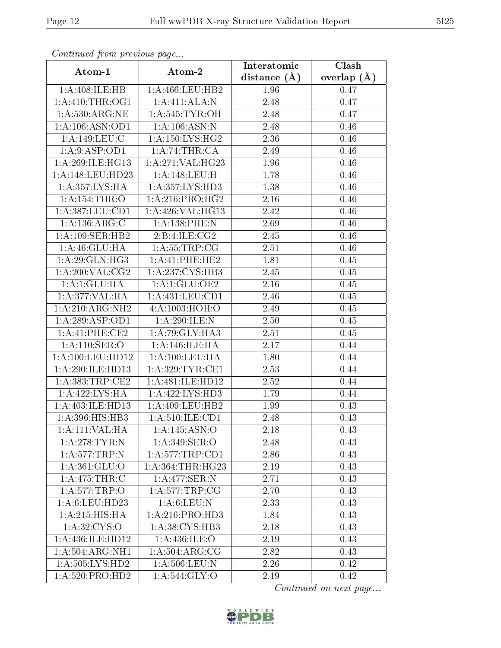| Commaca from previous page |                              | Interatomic       | Clash         |
|----------------------------|------------------------------|-------------------|---------------|
| Atom-1                     | Atom-2                       | distance $(\AA)$  | overlap $(A)$ |
| 1:A:408:ILE:HB             | 1:A:466:LEU:HB2              | 1.96              | 0.47          |
| 1: A:410:THR:OG1           | 1:A:411:ALA:N                | 2.48              | 0.47          |
| 1: A:530:ARG:NE            | 1: A:545: TYR:OH             | 2.48              | 0.47          |
| 1: A: 106: ASN: OD1        | 1: A: 106: ASN: N            | 2.48              | 0.46          |
| 1: A:149: LEU: C           | 1: A: 150: LYS: HG2          | 2.36              | 0.46          |
| 1:A:9:ASP:OD1              | 1:A:74:THR:CA                | 2.49              | 0.46          |
| 1: A:269: ILE: HGI3        | 1:A:271:VAL:HG23             | 1.96              | $0.46\,$      |
| 1:A:148:LEU:HD23           | 1: A:148: LEU:H              | 1.78              | 0.46          |
| 1:A:357:LYS:HA             | 1: A: 357: LYS: HD3          | 1.38              | 0.46          |
| 1:A:154:THR:O              | 1: A:216:PRO:HG2             | 2.16              | 0.46          |
| 1:A:387:LEU:CD1            | 1:A:426:VAL:HG13             | 2.42              | 0.46          |
| 1: A: 136: ARG: C          | 1:A:138:PHE:N                | 2.69              | 0.46          |
| 1:A:109:SER:HB2            | 2: B: 4: ILE: CG2            | 2.45              | 0.46          |
| 1: A:46: GLU: HA           | 1: A:55:TRP:CG               | 2.51              | 0.46          |
| 1: A:29: GLN: HG3          | 1:A:41:PHE:HE2               | 1.81              | 0.45          |
| 1:A:200:VAL:CG2            | 1:A:237:CYS:HB3              | 2.45              | 0.45          |
| 1: A:1:GLU:HA              | 1:A:1:GLU:OE2                | $\overline{2.16}$ | 0.45          |
| 1:A:377:VAL:HA             | 1: A: 431: LEU: CD1          | 2.46              | 0.45          |
| 1:A:210:ARG:NH2            | 4:A:1003:HOH:O               | 2.49              | 0.45          |
| 1:A:289:ASP:OD1            | 1: A:290: ILE:N              | 2.50              | 0.45          |
| 1:A:41:PHE:CE2             | 1: A:79: GLY: HA3            | 2.51              | 0.45          |
| 1:A:110:SER:O              | 1:A:146:ILE:HA               | 2.17              | 0.44          |
| 1:A:100:LEU:HD12           | 1:A:100:LEU:HA               | 1.80              | 0.44          |
| 1:A:290:ILE:HD13           | 1: A:329:TYR:CE1             | 2.53              | 0.44          |
| 1: A: 383: TRP: CE2        | 1:A:481:ILE:HD12             | 2.52              | 0.44          |
| 1:A:422:LYS:HA             | 1:A:422:LYS:HD3              | 1.79              | 0.44          |
| 1:A:403:ILE:HD13           | 1:A:409:LEU:HB2              | 1.99              | 0.43          |
| 1:A:396:HIS:HB3            | 1: A:510: ILE: CD1           | 2.48              | 0.43          |
| 1:A:111:VAL:HA             | 1:A:145:ASN:O                | 2.18              | 0.43          |
| 1: A:278:TYR:N             | 1: A:349: SER:O              | 2.48              | 0.43          |
| 1:A:577:TRP:N              | 1:A:577:TRP:CD1              | 2.86              | 0.43          |
| 1: A:361: GLU:O            | 1:A:364:THR:HG23             | 2.19              | 0.43          |
| 1: A:475:THR:C             | 1:A:477:SER:N                | 2.71              | 0.43          |
| 1:A:577:TRP:O              | 1: A:577:TRP:CG              | 2.70              | 0.43          |
| 1: A:6: LEU: HD23          | 1: A:6: LEU: N               | 2.33              | 0.43          |
| 1:A:215:HIS:HA             | 1: A:216: PRO:HD3            | 1.84              | 0.43          |
| 1: A:32: CYS:O             | 1:A:38:CYS:HB3               | 2.18              | 0.43          |
| 1:A:436:ILE:HD12           | 1: A:436: ILE: O             | 2.19              | 0.43          |
| 1:A:504:ARG:NH1            | 1: A:504: ARG: CG            | 2.82              | 0.43          |
| 1:A:505:LYS:HD2            | 1:A:506:LEU:N                | 2.26              | 0.42          |
| 1: A:520: PRO:HD2          | $1: A:544: \overline{GLY:O}$ | 2.19              | 0.42          |

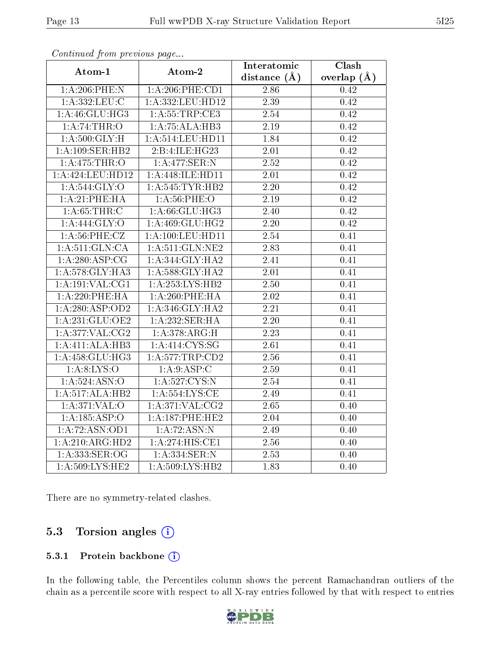| Connunctu from previous page |                      | Interatomic       | $\overline{\text{Clash}}$ |
|------------------------------|----------------------|-------------------|---------------------------|
| Atom-1                       | Atom-2               | distance $(\AA)$  | overlap $(\AA)$           |
| $1: A:206:$ PHE:N            | $1: A:206:$ PHE:CD1  | 2.86              | 0.42                      |
| 1: A: 332: LEU: C            | 1:A:332:LEU:HD12     | 2.39              | 0.42                      |
| 1:A:46:GLU:HG3               | 1: A: 55: TRP: CE3   | 2.54              | 0.42                      |
| 1:A:74:THR:O                 | 1:A:75:ALA:HB3       | 2.19              | 0.42                      |
| 1: A:500: GLY:H              | 1:A:514:LEU:HD11     | 1.84              | 0.42                      |
| 1:A:109:SER:HB2              | 2:B:4:ILE:HG23       | $2.01\,$          | 0.42                      |
| 1: A:475:THR:O               | 1:A:477:SER:N        | 2.52              | 0.42                      |
| 1:A:424:LEU:HD12             | 1:A:448:ILE:HD11     | 2.01              | 0.42                      |
| 1: A:544: GLY:O              | 1:A:545:TYR:HB2      | $\overline{2.20}$ | 0.42                      |
| 1:A:21:PHE:HA                | 1: A:56:PHE:O        | 2.19              | 0.42                      |
| 1: A:65:THR:C                | 1:A:66:GLU:HG3       | 2.40              | 0.42                      |
| 1: A: 444: GLY: O            | 1:A:469:GLU:HG2      | 2.20              | 0.42                      |
| $1: A:56:$ PHE:CZ            | 1: A: 100: LEU: HD11 | 2.54              | 0.41                      |
| 1: A:511: GLN:CA             | $1:$ A:511:GLN:NE2   | 2.83              | 0.41                      |
| 1: A:280:ASP:CG              | 1:A:344:GLY:HA2      | 2.41              | 0.41                      |
| 1:A:578:GLY:HA3              | 1:A:588:GLY:HA2      | 2.01              | 0.41                      |
| $1:A:191:\overline{VAL}:CG1$ | 1:A:253:LYS:HB2      | 2.50              | 0.41                      |
| $1: A:220:$ PHE:HA           | 1:A:260:PHE:HA       | $2.02\,$          | 0.41                      |
| 1: A:280: ASP:OD2            | 1: A:346: GLY: HA2   | $\overline{2.21}$ | 0.41                      |
| 1:A:231:GLU:OE2              | 1:A:232:SER:HA       | 2.20              | 0.41                      |
| 1:A:377:VAL:CG2              | 1: A:378:ARG:H       | 2.23              | 0.41                      |
| 1:A:411:ALA:HB3              | 1:A:414:CYS:SG       | $\overline{2.61}$ | 0.41                      |
| 1: A: 458: GLU: HG3          | 1:A:577:TRP:CD2      | 2.56              | 0.41                      |
| 1: A:8: LYS:O                | 1:A:9:ASP:C          | 2.59              | 0.41                      |
| 1:A:524:ASN:O                | 1:A:527:CYS:N        | 2.54              | 0.41                      |
| 1:A:517:ALA:HB2              | 1: A: 554: LYS: CE   | 2.49              | 0.41                      |
| 1:A:371:VAL:O                | 1:A:371:VAL:CG2      | 2.65              | 0.40                      |
| 1:A:185:ASP:O                | 1:A:187:PHE:HE2      | $\overline{2}.04$ | 0.40                      |
| 1:A:72:ASN:OD1               | 1:A:72:ASN:N         | 2.49              | 0.40                      |
| 1:A:210:ARG:HD2              | 1:A:274:HIS:CE1      | 2.56              | 0.40                      |
| 1:A:333:SER:OG               | 1:A:334:SER:N        | 2.53              | 0.40                      |
| 1:A:509:LYS:HE2              | 1:A:509:LYS:HB2      | 1.83              | 0.40                      |

There are no symmetry-related clashes.

### 5.3 Torsion angles (i)

#### 5.3.1 Protein backbone (i)

In the following table, the Percentiles column shows the percent Ramachandran outliers of the chain as a percentile score with respect to all X-ray entries followed by that with respect to entries

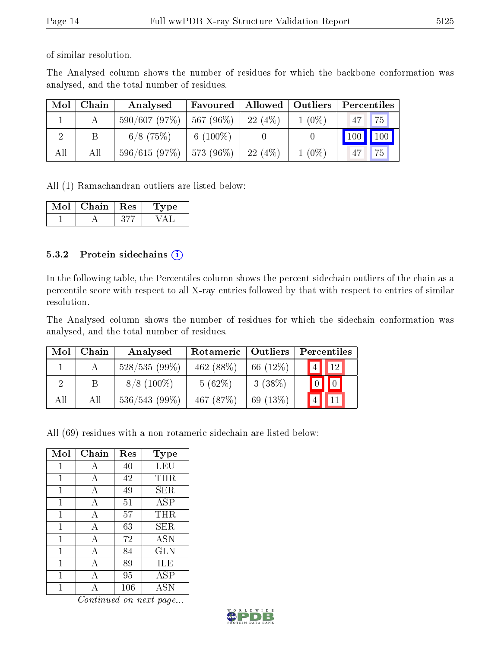of similar resolution.

The Analysed column shows the number of residues for which the backbone conformation was analysed, and the total number of residues.

| Mol | Chain | Analysed                      | Favoured    |        | Allowed   Outliers | Percentiles                  |
|-----|-------|-------------------------------|-------------|--------|--------------------|------------------------------|
|     |       | $590/607(97\%)$   567 (96\%)  |             | 22(4%) | $1(0\%)$           | 75<br> 47                    |
|     | B     | $6/8$ (75\%)                  | 6 $(100\%)$ |        |                    | $\mid$ 100 $\mid$ 100 $\mid$ |
| All | All   | $596/615$ (97\%)   573 (96\%) |             | 22(4%) | $1(0\%)$           | 75<br>47                     |

All (1) Ramachandran outliers are listed below:

| Mor | Chain. | $\perp$ Res | vpe |
|-----|--------|-------------|-----|
|     |        |             |     |

#### 5.3.2 Protein sidechains (i)

In the following table, the Percentiles column shows the percent sidechain outliers of the chain as a percentile score with respect to all X-ray entries followed by that with respect to entries of similar resolution.

The Analysed column shows the number of residues for which the sidechain conformation was analysed, and the total number of residues.

| Mol | Chain | Analysed        | Rotameric   Outliers |            | Percentiles |
|-----|-------|-----------------|----------------------|------------|-------------|
|     |       | $528/535(99\%)$ | 462 $(88%)$          | 66 $(12%)$ | 12          |
|     |       | $8/8$ (100\%)   | 5(62%)               | 3(38%)     |             |
| All | All   | $536/543(99\%)$ | 467 $(87%)$          | 69 $(13%)$ |             |

All (69) residues with a non-rotameric sidechain are listed below:

| Mol         | Chain | Res | Type       |
|-------------|-------|-----|------------|
| $\mathbf 1$ | А     | 40  | LEU        |
| 1           | А     | 42  | THR        |
| 1           | А     | 49  | SER        |
| 1           | А     | 51  | ASP        |
| 1           | А     | 57  | THR        |
| 1           | А     | 63  | SER        |
| 1           | А     | 72  | <b>ASN</b> |
| 1           | А     | 84  | <b>GLN</b> |
| 1           | А     | 89  | ILE        |
| 1           | А     | 95  | ASP        |
|             |       | 106 | ASN        |

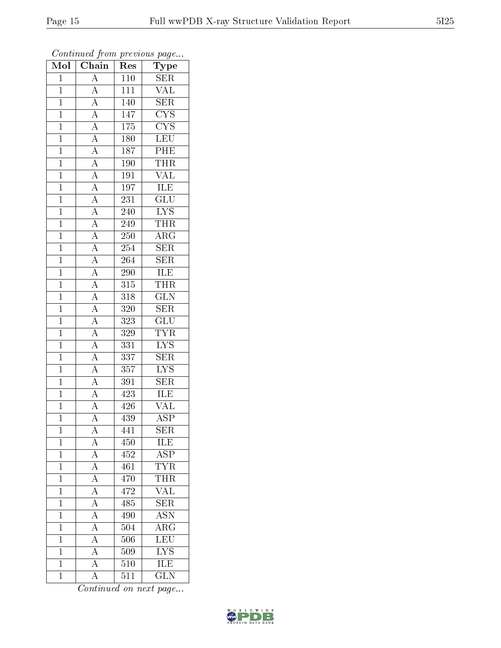| Mol            | Chain                                                                                                                                                                                                                                                                                                                                                                         | Res              | Type                     |
|----------------|-------------------------------------------------------------------------------------------------------------------------------------------------------------------------------------------------------------------------------------------------------------------------------------------------------------------------------------------------------------------------------|------------------|--------------------------|
| $\mathbf{1}$   | $\overline{A}$                                                                                                                                                                                                                                                                                                                                                                | 110              | <b>SER</b>               |
| $\mathbf{1}$   | $\overline{A}$                                                                                                                                                                                                                                                                                                                                                                | 111              | VAL                      |
| $\overline{1}$ |                                                                                                                                                                                                                                                                                                                                                                               | 140              | SER                      |
| $\mathbf{1}$   |                                                                                                                                                                                                                                                                                                                                                                               | 147              | $\overline{\text{CYS}}$  |
| $\overline{1}$ |                                                                                                                                                                                                                                                                                                                                                                               | $\overline{175}$ | $\overline{\text{CYS}}$  |
| $\mathbf{1}$   |                                                                                                                                                                                                                                                                                                                                                                               | 180              | $\overline{\text{LE}}$ U |
| $\mathbf{1}$   |                                                                                                                                                                                                                                                                                                                                                                               | $\overline{187}$ | $\overline{\text{PHE}}$  |
| $\mathbf{1}$   |                                                                                                                                                                                                                                                                                                                                                                               | 190              | <b>THR</b>               |
| $\overline{1}$ |                                                                                                                                                                                                                                                                                                                                                                               | 191              | <b>VAL</b>               |
| $\overline{1}$ |                                                                                                                                                                                                                                                                                                                                                                               | 197              | <b>ILE</b>               |
| $\mathbf{1}$   |                                                                                                                                                                                                                                                                                                                                                                               | 231              | $\overline{\text{GLU}}$  |
| $\mathbf{1}$   |                                                                                                                                                                                                                                                                                                                                                                               | 240              | $\overline{\text{LYS}}$  |
| $\overline{1}$ |                                                                                                                                                                                                                                                                                                                                                                               | 249              | <b>THR</b>               |
| $\overline{1}$ | $\frac{\overline{A}}{\overline{A}}\frac{\overline{A}}{\overline{A}}\frac{\overline{A}}{\overline{A}}\frac{\overline{A}}{\overline{A}}\frac{\overline{A}}{\overline{A}}\frac{\overline{A}}{\overline{A}}\frac{\overline{A}}{\overline{A}}\frac{\overline{A}}{\overline{A}}\frac{\overline{A}}{\overline{A}}\frac{\overline{A}}{\overline{A}}\frac{\overline{A}}{\overline{A}}$ | 250              | $\rm{ARG}$               |
| $\overline{1}$ |                                                                                                                                                                                                                                                                                                                                                                               | 254              | $\overline{\text{SER}}$  |
| $\mathbf{1}$   |                                                                                                                                                                                                                                                                                                                                                                               | 264              | <b>SER</b>               |
| $\overline{1}$ |                                                                                                                                                                                                                                                                                                                                                                               | <b>290</b>       | ILE                      |
| $\mathbf{1}$   |                                                                                                                                                                                                                                                                                                                                                                               | 315              | THR                      |
| $\overline{1}$ |                                                                                                                                                                                                                                                                                                                                                                               | 318              | $\overline{\text{GLN}}$  |
| $\overline{1}$ |                                                                                                                                                                                                                                                                                                                                                                               | 320              | $\overline{\text{SER}}$  |
| $\mathbf{1}$   |                                                                                                                                                                                                                                                                                                                                                                               | 323              | $\overline{\text{GLU}}$  |
| $\overline{1}$ |                                                                                                                                                                                                                                                                                                                                                                               | 329              | $\overline{\text{TYR}}$  |
| $\mathbf{1}$   |                                                                                                                                                                                                                                                                                                                                                                               | 331              | $\overline{\text{LYS}}$  |
| $\overline{1}$ | $\frac{\overline{A}}{\overline{A}}$                                                                                                                                                                                                                                                                                                                                           | $\overline{337}$ | $\overline{\text{SER}}$  |
| $\mathbf{1}$   |                                                                                                                                                                                                                                                                                                                                                                               | 357              | <b>LYS</b>               |
| $\mathbf{1}$   | $\frac{\overline{A}}{\overline{A}}$                                                                                                                                                                                                                                                                                                                                           | 391              | <b>SER</b>               |
| $\overline{1}$ |                                                                                                                                                                                                                                                                                                                                                                               | 423              | <b>ILE</b>               |
| $\overline{1}$ |                                                                                                                                                                                                                                                                                                                                                                               | 426              | VAL                      |
| $\overline{1}$ | $\overline{A}$                                                                                                                                                                                                                                                                                                                                                                | $\overline{439}$ | $\overline{\text{ASP}}$  |
| $\mathbf 1$    | А                                                                                                                                                                                                                                                                                                                                                                             | 441              | $\overline{\text{SER}}$  |
| $\mathbf{1}$   | A                                                                                                                                                                                                                                                                                                                                                                             | 450              | ILE                      |
| $\mathbf{1}$   | $\overline{A}$                                                                                                                                                                                                                                                                                                                                                                | 452              | $\overline{\text{ASP}}$  |
| $\mathbf{1}$   | $\overline{A}$                                                                                                                                                                                                                                                                                                                                                                | 461              | <b>TYR</b>               |
| $\overline{1}$ | $\overline{A}$                                                                                                                                                                                                                                                                                                                                                                | 470              | <b>THR</b>               |
| $\mathbf 1$    | $\overline{A}$                                                                                                                                                                                                                                                                                                                                                                | 472              | <b>VAL</b>               |
| $\mathbf 1$    | $\overline{A}$                                                                                                                                                                                                                                                                                                                                                                | 485              | $\overline{\text{SER}}$  |
| $\mathbf{1}$   | A                                                                                                                                                                                                                                                                                                                                                                             | 490              | <b>ASN</b>               |
| $\overline{1}$ | $\overline{A}$                                                                                                                                                                                                                                                                                                                                                                | 504              | $\overline{\rm{ARG}}$    |
| $\mathbf 1$    | $\overline{A}$                                                                                                                                                                                                                                                                                                                                                                | 506              | $\overline{\text{LEU}}$  |
| $\mathbf{1}$   | $\boldsymbol{A}$                                                                                                                                                                                                                                                                                                                                                              | 509              | <b>LYS</b>               |
| $\mathbf{1}$   | $\overline{A}$                                                                                                                                                                                                                                                                                                                                                                | 510              | <b>ILE</b>               |
| $\mathbf{1}$   | $\boldsymbol{A}$                                                                                                                                                                                                                                                                                                                                                              | 511              | $\overline{\text{GLN}}$  |

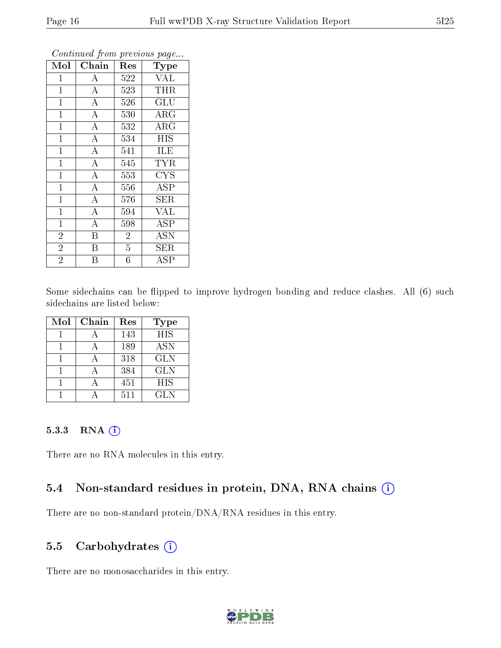| Mol            | Chain              | Res            | Type                       |
|----------------|--------------------|----------------|----------------------------|
| $\mathbf{1}$   | $\boldsymbol{A}$   | 522            | <b>VAL</b>                 |
| $\mathbf{1}$   | $\overline{\rm A}$ | 523            | <b>THR</b>                 |
| $\mathbf{1}$   | $\overline{A}$     | 526            | GLU                        |
| $\overline{1}$ | $\overline{\rm A}$ | 530            | $\rm{ARG}$                 |
| $\mathbf{1}$   | $\overline{A}$     | 532            | $\overline{\rm A}{\rm RG}$ |
| $\mathbf{1}$   | $\overline{A}$     | 534            | <b>HIS</b>                 |
| $\mathbf 1$    | $\overline{\rm A}$ | 541            | <b>ILE</b>                 |
| $\mathbf{1}$   | $\overline{A}$     | 545            | <b>TYR</b>                 |
| $\mathbf{1}$   | $\overline{\rm A}$ | 553            | <b>CYS</b>                 |
| $\mathbf{1}$   | $\overline{A}$     | 556            | <b>ASP</b>                 |
| $\mathbf{1}$   | $\overline{\rm A}$ | 576            | <b>SER</b>                 |
| $\mathbf{1}$   | $\overline{\rm A}$ | 594            | <b>VAL</b>                 |
| $\mathbf{1}$   | $\overline{A}$     | 598            | <b>ASP</b>                 |
| $\overline{2}$ | $\rm \overline{B}$ | $\overline{2}$ | <b>ASN</b>                 |
| $\overline{2}$ | B                  | $\overline{5}$ | <b>SER</b>                 |
| $\overline{2}$ | Β                  | $\overline{6}$ | ${\rm ASP}$                |

Some sidechains can be flipped to improve hydrogen bonding and reduce clashes. All (6) such sidechains are listed below:

| Mol | Chain | Res | <b>Type</b> |
|-----|-------|-----|-------------|
|     |       | 143 | <b>HIS</b>  |
|     |       | 189 | <b>ASN</b>  |
|     |       | 318 | <b>GLN</b>  |
|     |       | 384 | <b>GLN</b>  |
|     |       | 451 | <b>HIS</b>  |
|     |       | 511 | GL N        |

#### 5.3.3 RNA (1)

There are no RNA molecules in this entry.

#### 5.4 Non-standard residues in protein, DNA, RNA chains (i)

There are no non-standard protein/DNA/RNA residues in this entry.

#### 5.5 Carbohydrates (i)

There are no monosaccharides in this entry.

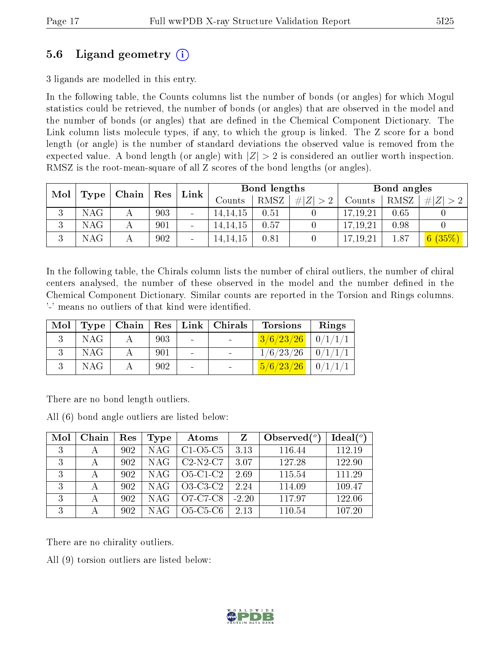### 5.6 Ligand geometry (i)

3 ligands are modelled in this entry.

In the following table, the Counts columns list the number of bonds (or angles) for which Mogul statistics could be retrieved, the number of bonds (or angles) that are observed in the model and the number of bonds (or angles) that are dened in the Chemical Component Dictionary. The Link column lists molecule types, if any, to which the group is linked. The Z score for a bond length (or angle) is the number of standard deviations the observed value is removed from the expected value. A bond length (or angle) with  $|Z| > 2$  is considered an outlier worth inspection. RMSZ is the root-mean-square of all Z scores of the bond lengths (or angles).

| Mol<br>$\overline{\phantom{a}}$ Chain $\overline{\phantom{a}}$ |           |  | Link       | Bond lengths |            |             | Bond angles |            |      |             |
|----------------------------------------------------------------|-----------|--|------------|--------------|------------|-------------|-------------|------------|------|-------------|
|                                                                | Type      |  | $\mid$ Res |              | Counts     | <b>RMSZ</b> | # $ Z  > 2$ | Counts     | RMSZ | # $ Z  > 2$ |
| Ð                                                              | $\rm NAG$ |  | 903        |              | 14, 14, 15 | 0.51        |             | 17,19,21   | 0.65 |             |
| Ð                                                              | $\rm NAG$ |  | 901        |              | 14, 14, 15 | 0.57        |             | 17.19.21   | 0.98 |             |
|                                                                | NAG       |  | 902        |              | 14,14,15   | 0.81        |             | 17, 19, 21 | 1.87 | 6(35%)      |

In the following table, the Chirals column lists the number of chiral outliers, the number of chiral centers analysed, the number of these observed in the model and the number defined in the Chemical Component Dictionary. Similar counts are reported in the Torsion and Rings columns. '-' means no outliers of that kind were identified.

| Mol |            |     |                | Type   Chain   Res   Link   Chirals | <b>Torsions</b>                       | Rings |
|-----|------------|-----|----------------|-------------------------------------|---------------------------------------|-------|
|     | <b>NAG</b> | 903 | $\sim$         |                                     | $3/6/23/26$   $0/1/1/1$               |       |
|     | <b>NAG</b> | 901 | $\sim$         |                                     | $1/6/23/26$   $0/1/1/1$               |       |
|     | <b>NAG</b> | 902 | $\blacksquare$ |                                     | $\frac{5}{6}/\frac{23}{26}$   0/1/1/1 |       |

There are no bond length outliers.

All (6) bond angle outliers are listed below:

| Mol | Chain | Res | Type       | Atoms      | Z       | Observed $(°)$ | Ideal $(°)$ |
|-----|-------|-----|------------|------------|---------|----------------|-------------|
| 3   |       | 902 | <b>NAG</b> | $C1-O5-C5$ | 3.13    | 116.44         | 112.19      |
| 3   |       | 902 | <b>NAG</b> | $C2-N2-C7$ | 3.07    | 127.28         | 122.90      |
| 3   |       | 902 | NAG        | $O5-C1-C2$ | 2.69    | 115.54         | 111.29      |
| 3   |       | 902 | NAG        | $O3-C3-C2$ | 2.24    | 114.09         | 109.47      |
| 3   |       | 902 | <b>NAG</b> | O7-C7-C8   | $-2.20$ | 117.97         | 122.06      |
| 3   |       | 902 | NAG        | $O5-C5-C6$ | 2.13    | 110.54         | 107.20      |

There are no chirality outliers.

All (9) torsion outliers are listed below:

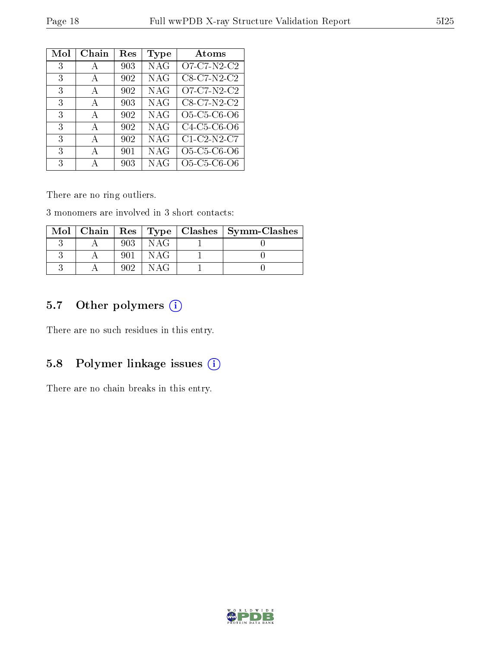| Mol | Chain | Res | Type       | Atoms                    |
|-----|-------|-----|------------|--------------------------|
| 3   | А     | 903 | <b>NAG</b> | $O7-C7-N2-C2$            |
| 3   | A     | 902 | <b>NAG</b> | $C8-C7-N2-C2$            |
| 3   | A     | 902 | <b>NAG</b> | O7-C7-N2-C2              |
| 3   | A     | 903 | <b>NAG</b> | $C8-\overline{C7-N2-C2}$ |
| 3   | A     | 902 | <b>NAG</b> | O5-C5-C6-O6              |
| 3   | A     | 902 | <b>NAG</b> | $C4-C5-C6-O6$            |
| 3   | A     | 902 | <b>NAG</b> | $C1-C2-N2-C7$            |
| 3   | A     | 901 | <b>NAG</b> | O5-C5-C6-O6              |
| 3   |       | 903 | <b>NAG</b> | O5-C5-C6-O6              |

There are no ring outliers.

3 monomers are involved in 3 short contacts:

|  |     |       | $\text{Mol}$   Chain   Res   Type   Clashes   Symm-Clashes |
|--|-----|-------|------------------------------------------------------------|
|  | 903 | NAG   |                                                            |
|  |     | NAG   |                                                            |
|  | 909 | N A C |                                                            |

### 5.7 [O](https://www.wwpdb.org/validation/2017/XrayValidationReportHelp#nonstandard_residues_and_ligands)ther polymers (i)

There are no such residues in this entry.

### 5.8 Polymer linkage issues (i)

There are no chain breaks in this entry.

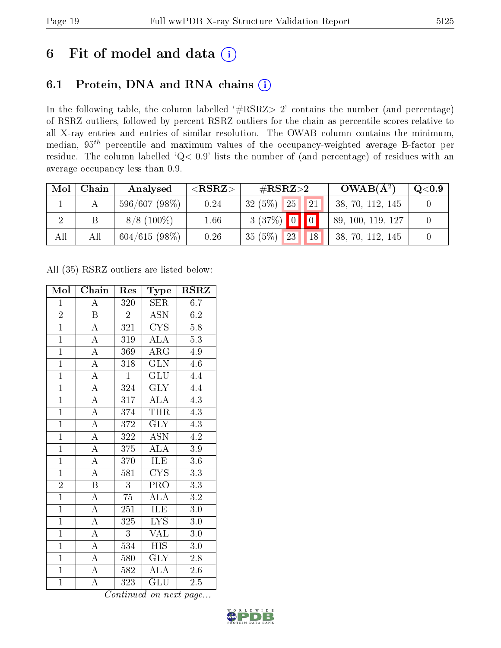# 6 Fit of model and data  $(i)$

### 6.1 Protein, DNA and RNA chains  $(i)$

In the following table, the column labelled  $#RSRZ> 2'$  contains the number (and percentage) of RSRZ outliers, followed by percent RSRZ outliers for the chain as percentile scores relative to all X-ray entries and entries of similar resolution. The OWAB column contains the minimum, median,  $95<sup>th</sup>$  percentile and maximum values of the occupancy-weighted average B-factor per residue. The column labelled ' $Q< 0.9$ ' lists the number of (and percentage) of residues with an average occupancy less than 0.9.

| Mol | Chain | Analysed      | ${ <\hspace{-1.5pt}{\mathrm{RSRZ}} \hspace{-1.5pt}>}$ | $\#\text{RSRZ}\text{>2}$ | $OWAB(A^2)$       | $\rm Q\textcolor{black}{<}0.9$ |
|-----|-------|---------------|-------------------------------------------------------|--------------------------|-------------------|--------------------------------|
|     |       | 596/607(98%)  | 0.24                                                  | 25<br>32(5%)<br>21       | 38, 70, 112, 145  |                                |
|     |       | $8/8$ (100\%) | 1.66                                                  | $3(37%)$ 0 0             | 89, 100, 119, 127 |                                |
| All | Αll   | 604/615(98%)  | 0.26                                                  | 35(5%)<br>23<br>18       | 38, 70, 112, 145  |                                |

All (35) RSRZ outliers are listed below:

| Mol            | Chain                   | Res              | Type                                | $_{\rm RSRZ}$    |
|----------------|-------------------------|------------------|-------------------------------------|------------------|
| $\mathbf{1}$   | $\overline{\rm A}$      | 320              | <b>SER</b>                          | 6.7              |
| $\overline{2}$ | $\overline{B}$          | $\bar{2}$        | <b>ASN</b>                          | 6.2              |
| $\overline{1}$ | $\overline{A}$          | 321              | $\overline{\text{CYS}}$             | 5.8              |
| $\mathbf{1}$   | $\overline{\rm A}$      | 319              | <b>ALA</b>                          | 5.3              |
| $\overline{1}$ | $\overline{\rm A}$      | 369              | $\overline{\rm{ARG}}$               | 4.9              |
| $\overline{1}$ | $\overline{\rm A}$      | 318              | $\overline{\text{GLN}}$             | $4.\overline{6}$ |
| $\overline{1}$ | $\overline{A}$          | $\mathbf{1}$     | <b>GLU</b>                          | 4.4              |
| $\overline{1}$ | $\overline{A}$          | 324              | <b>GLY</b>                          | 4.4              |
| $\overline{1}$ | $\overline{\rm A}$      | 317              | $\widehat{\text{ALA}}$              | 4.3              |
| $\overline{1}$ | $\overline{\rm A}$      | 374              | <b>THR</b>                          | 4.3              |
| $\overline{1}$ | $\overline{\rm A}$      | 372              | <b>GLY</b>                          | 4.3              |
| $\overline{1}$ | $\overline{A}$          | 322              | $\overline{\mathrm{ASN}}$           | $\overline{4.2}$ |
| $\overline{1}$ | $\overline{A}$          | 375              | $\overline{\rm ALA}$                | $\overline{3.9}$ |
| $\overline{1}$ | $\overline{\rm A}$      | 370              | ILE                                 | 3.6              |
| $\overline{1}$ | $\overline{A}$          | 581              | $\overline{\mathrm{C} \mathrm{YS}}$ | $\overline{3.3}$ |
| $\overline{2}$ | $\overline{\mathrm{B}}$ | $\overline{3}$   | $\overline{\text{PRO}}$             | $\overline{3.3}$ |
| $\overline{1}$ | $\overline{\rm A}$      | $\overline{75}$  | $\overline{\rm ALA}$                | $\overline{3.2}$ |
| $\overline{1}$ | $\overline{\rm A}$      | 251              | ILE                                 | $\overline{3.0}$ |
| $\overline{1}$ | $\overline{\rm A}$      | $\overline{325}$ | $\overline{\text{LYS}}$             | $3.0\,$          |
| $\overline{1}$ | $\overline{\rm A}$      | $\overline{3}$   | $\overline{\text{VAL}}$             | $3.0\,$          |
| $\overline{1}$ | $\overline{\rm A}$      | 534              | <b>HIS</b>                          | $\overline{3}.0$ |
| $\overline{1}$ | $\overline{A}$          | 580              | <b>GLY</b>                          | $2.8\,$          |
| $\overline{1}$ | $\overline{A}$          | 582              | <b>ALA</b>                          | 2.6              |
| $\mathbf{1}$   | $\overline{\rm A}$      | 323              | $\overline{\text{GLU}}$             | 2.5              |